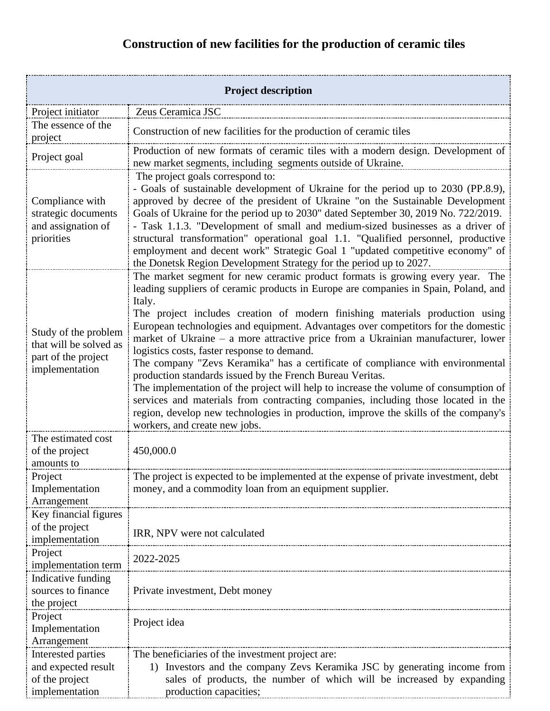## **Construction of new facilities for the production of ceramic tiles**

| <b>Project description</b>                                                              |                                                                                                                                                                                                                                                                                                                                                                                                                                                                                                                                                                                                                                                                                                                                                                                                                                                                                                                                            |  |
|-----------------------------------------------------------------------------------------|--------------------------------------------------------------------------------------------------------------------------------------------------------------------------------------------------------------------------------------------------------------------------------------------------------------------------------------------------------------------------------------------------------------------------------------------------------------------------------------------------------------------------------------------------------------------------------------------------------------------------------------------------------------------------------------------------------------------------------------------------------------------------------------------------------------------------------------------------------------------------------------------------------------------------------------------|--|
| Project initiator                                                                       | Zeus Ceramica JSC                                                                                                                                                                                                                                                                                                                                                                                                                                                                                                                                                                                                                                                                                                                                                                                                                                                                                                                          |  |
| The essence of the<br>project                                                           | Construction of new facilities for the production of ceramic tiles                                                                                                                                                                                                                                                                                                                                                                                                                                                                                                                                                                                                                                                                                                                                                                                                                                                                         |  |
| Project goal                                                                            | Production of new formats of ceramic tiles with a modern design. Development of<br>new market segments, including segments outside of Ukraine.                                                                                                                                                                                                                                                                                                                                                                                                                                                                                                                                                                                                                                                                                                                                                                                             |  |
| Compliance with<br>strategic documents<br>and assignation of<br>priorities              | The project goals correspond to:<br>- Goals of sustainable development of Ukraine for the period up to 2030 (PP.8.9),<br>approved by decree of the president of Ukraine "on the Sustainable Development<br>Goals of Ukraine for the period up to 2030" dated September 30, 2019 No. 722/2019.<br>- Task 1.1.3. "Development of small and medium-sized businesses as a driver of<br>structural transformation" operational goal 1.1. "Qualified personnel, productive<br>employment and decent work" Strategic Goal 1 "updated competitive economy" of<br>the Donetsk Region Development Strategy for the period up to 2027.                                                                                                                                                                                                                                                                                                                |  |
| Study of the problem<br>that will be solved as<br>part of the project<br>implementation | The market segment for new ceramic product formats is growing every year. The<br>leading suppliers of ceramic products in Europe are companies in Spain, Poland, and<br>Italy.<br>The project includes creation of modern finishing materials production using<br>European technologies and equipment. Advantages over competitors for the domestic<br>market of Ukraine - a more attractive price from a Ukrainian manufacturer, lower<br>logistics costs, faster response to demand.<br>The company "Zevs Keramika" has a certificate of compliance with environmental<br>production standards issued by the French Bureau Veritas.<br>The implementation of the project will help to increase the volume of consumption of<br>services and materials from contracting companies, including those located in the<br>region, develop new technologies in production, improve the skills of the company's<br>workers, and create new jobs. |  |
| The estimated cost<br>of the project<br>amounts to                                      | 450,000.0                                                                                                                                                                                                                                                                                                                                                                                                                                                                                                                                                                                                                                                                                                                                                                                                                                                                                                                                  |  |
| Project<br>Implementation<br>Arrangement                                                | The project is expected to be implemented at the expense of private investment, debt<br>money, and a commodity loan from an equipment supplier.                                                                                                                                                                                                                                                                                                                                                                                                                                                                                                                                                                                                                                                                                                                                                                                            |  |
| Key financial figures<br>of the project<br>implementation                               | IRR, NPV were not calculated                                                                                                                                                                                                                                                                                                                                                                                                                                                                                                                                                                                                                                                                                                                                                                                                                                                                                                               |  |
| Project<br>implementation term                                                          | 2022-2025                                                                                                                                                                                                                                                                                                                                                                                                                                                                                                                                                                                                                                                                                                                                                                                                                                                                                                                                  |  |
| Indicative funding<br>sources to finance<br>the project                                 | Private investment, Debt money                                                                                                                                                                                                                                                                                                                                                                                                                                                                                                                                                                                                                                                                                                                                                                                                                                                                                                             |  |
| Project<br>Implementation<br>Arrangement                                                | Project idea                                                                                                                                                                                                                                                                                                                                                                                                                                                                                                                                                                                                                                                                                                                                                                                                                                                                                                                               |  |
| Interested parties<br>and expected result<br>of the project<br>implementation           | The beneficiaries of the investment project are:<br>Investors and the company Zevs Keramika JSC by generating income from<br>1)<br>sales of products, the number of which will be increased by expanding<br>production capacities;                                                                                                                                                                                                                                                                                                                                                                                                                                                                                                                                                                                                                                                                                                         |  |